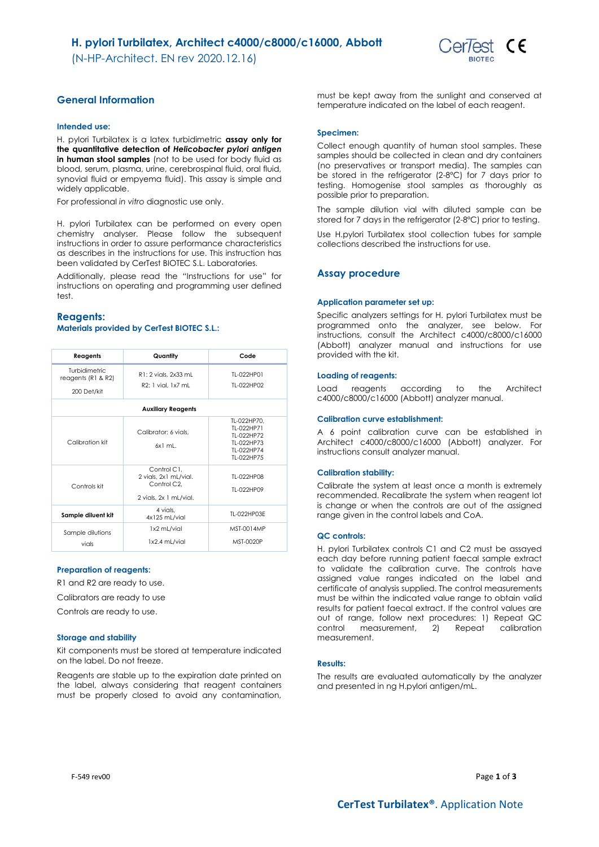(N-HP-Architect. EN rev 2020.12.16)



# **General Information**

### **Intended use:**

H. pylori Turbilatex is a latex turbidimetric **assay only for the quantitative detection of** *Helicobacter pylori antigen* **in human stool samples** (not to be used for body fluid as blood, serum, plasma, urine, cerebrospinal fluid, oral fluid, synovial fluid or empyema fluid). This assay is simple and widely applicable.

For professional *in vitro* diagnostic use only.

H. pylori Turbilatex can be performed on every open chemistry analyser. Please follow the subsequent instructions in order to assure performance characteristics as describes in the instructions for use. This instruction has been validated by CerTest BIOTEC S.L. Laboratories.

Additionally, please read the "Instructions for use" for instructions on operating and programming user defined test.

### **Reagents: Materials provided by CerTest BIOTEC S.L.:**

| Reagents                                           | Quantity                                                                                   | Code                                                                              |
|----------------------------------------------------|--------------------------------------------------------------------------------------------|-----------------------------------------------------------------------------------|
| Turbidimetric<br>reagents (R1 & R2)<br>200 Det/kit | R1: 2 vials, 2x33 mL<br>R2: 1 vial, 1x7 mL                                                 | TI-022HP01<br>TI-022HP02                                                          |
|                                                    | <b>Auxiliary Reagents</b>                                                                  |                                                                                   |
| Calibration kit                                    | Calibrator: 6 vials.<br>$6x1$ ml                                                           | TL-022HP70.<br>TI-022HP71<br>TI-022HP72<br>TI-022HP73<br>TI-022HP74<br>TI-022HP75 |
| Controls kit                                       | Control C1.<br>2 vials, 2x1 mL/vial.<br>Control C <sub>2</sub> .<br>2 vials, 2x 1 mL/vial. | TI-022HP08<br>TI-022HP09                                                          |
| Sample diluent kit                                 | 4 vials.<br>4x125 mL/vial                                                                  | TL-022HP03E                                                                       |
| Sample dilutions<br>vials                          | 1x2 mL/vial<br>1x2.4 mL/vial                                                               | MST-0014MP<br>MST-0020P                                                           |

#### **Preparation of reagents:**

R1 and R2 are ready to use.

Calibrators are ready to use

Controls are ready to use.

#### **Storage and stability**

Kit components must be stored at temperature indicated on the label. Do not freeze.

Reagents are stable up to the expiration date printed on the label, always considering that reagent containers must be properly closed to avoid any contamination,

must be kept away from the sunlight and conserved at temperature indicated on the label of each reagent.

### **Specimen:**

Collect enough quantity of human stool samples. These samples should be collected in clean and dry containers (no preservatives or transport media). The samples can be stored in the refrigerator (2-8°C) for 7 days prior to testing. Homogenise stool samples as thoroughly as possible prior to preparation.

The sample dilution vial with diluted sample can be stored for 7 days in the refrigerator (2-8ºC) prior to testing.

Use H.pylori Turbilatex stool collection tubes for sample collections described the instructions for use.

### **Assay procedure**

### **Application parameter set up:**

Specific analyzers settings for H. pylori Turbilatex must be programmed onto the analyzer, see below. For instructions, consult the Architect c4000/c8000/c16000 (Abbott) analyzer manual and instructions for use provided with the kit.

### **Loading of reagents:**

Load reagents according to the Architect c4000/c8000/c16000 (Abbott) analyzer manual.

### **Calibration curve establishment:**

A 6 point calibration curve can be established in Architect c4000/c8000/c16000 (Abbott) analyzer. For instructions consult analyzer manual.

#### **Calibration stability:**

Calibrate the system at least once a month is extremely recommended. Recalibrate the system when reagent lot is change or when the controls are out of the assigned range given in the control labels and CoA.

#### **QC controls:**

H. pylori Turbilatex controls C1 and C2 must be assayed each day before running patient faecal sample extract to validate the calibration curve. The controls have assigned value ranges indicated on the label and certificate of analysis supplied. The control measurements must be within the indicated value range to obtain valid results for patient faecal extract. If the control values are out of range, follow next procedures: 1) Repeat QC control measurement, 2) Repeat calibration measurement.

### **Results:**

The results are evaluated automatically by the analyzer and presented in ng H.pylori antigen/mL.

F-549 rev00 Page **1** of **3**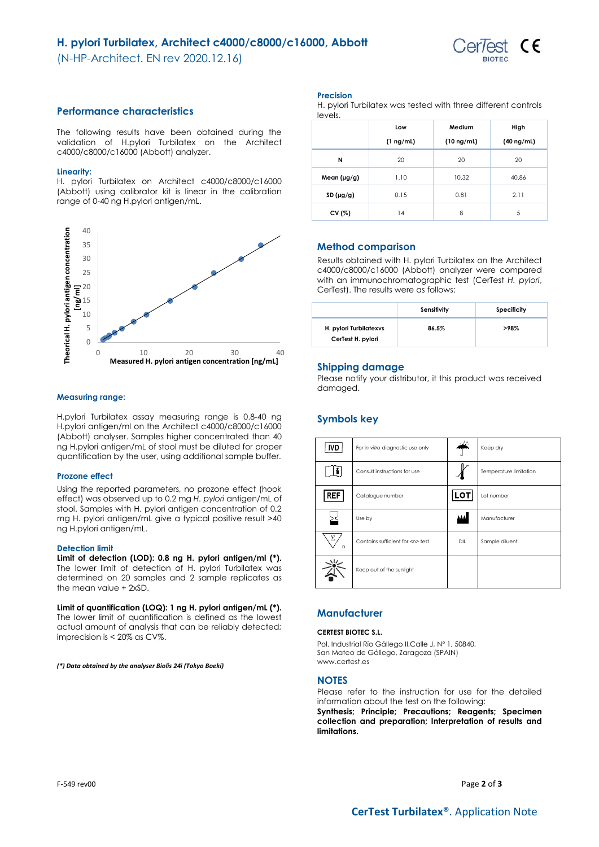# **H. pylori Turbilatex, Architect c4000/c8000/c16000, Abbott**

(N-HP-Architect. EN rev 2020.12.16)



## **Performance characteristics**

The following results have been obtained during the validation of H.pylori Turbilatex on the Architect c4000/c8000/c16000 (Abbott) analyzer.

### **Linearity:**

H. pylori Turbilatex on Architect c4000/c8000/c16000 (Abbott) using calibrator kit is linear in the calibration range of 0-40 ng H.pylori antigen/mL.



### **Measuring range:**

H.pylori Turbilatex assay measuring range is 0.8-40 ng H.pylori antigen/ml on the Architect c4000/c8000/c16000 (Abbott) analyser. Samples higher concentrated than 40 ng H.pylori antigen/mL of stool must be diluted for proper quantification by the user, using additional sample buffer.

### **Prozone effect**

Using the reported parameters, no prozone effect (hook effect) was observed up to 0.2 mg *H. pylori* antigen/mL of stool. Samples with H. pylori antigen concentration of 0.2 mg H. pylori antigen/mL give a typical positive result >40 ng H.pylori antigen/mL.

### **Detection limit**

**Limit of detection (LOD): 0.8 ng H. pylori antigen/ml (\*).**  The lower limit of detection of H. pylori Turbilatex was determined on 20 samples and 2 sample replicates as the mean value + 2xSD.

**Limit of quantification (LOQ): 1 ng H. pylori antigen/mL (\*).** The lower limit of quantification is defined as the lowest actual amount of analysis that can be reliably detected; imprecision is < 20% as CV%.

*(\*) Data obtained by the analyser Biolis 24i (Tokyo Boeki)*

### **Precision**

H. pylori Turbilatex was tested with three different controls levels.

|                  | Low            | Medium          | High            |
|------------------|----------------|-----------------|-----------------|
|                  | $(1 \nmid mL)$ | $(10 \nmid mL)$ | $(40 \nmid mL)$ |
| N                | 20             | 20              | 20              |
| Mean $(\mu g/g)$ | 1.10           | 10.32           | 40.86           |
| SD $(\mu g/g)$   | 0.15           | 0.81            | 2.11            |
| CV (%)           | 14             | 8               | 5               |

## **Method comparison**

Results obtained with H. pylori Turbilatex on the Architect c4000/c8000/c16000 (Abbott) analyzer were compared with an immunochromatographic test (CerTest *H. pylori*, CerTest). The results were as follows:

|                                             | Sensitivity | Specificity |
|---------------------------------------------|-------------|-------------|
| H. pylori Turbilatexys<br>CerTest H. pylori | 86.5%       | >98%        |

### **Shipping damage**

Please notify your distributor, it this product was received damaged.

# **Symbols key**

| <b>IVD</b> | For in vitro diagnostic use only     |            | Keep dry               |
|------------|--------------------------------------|------------|------------------------|
|            | Consult instructions for use         |            | Temperature limitation |
| <b>REF</b> | Catalogue number                     | <b>LOT</b> | Lot number             |
|            | Use by                               |            | Manufacturer           |
| Σ<br>n     | Contains sufficient for <n> test</n> | DIL        | Sample diluent         |
|            | Keep out of the sunlight             |            |                        |

# **Manufacturer**

### **CERTEST BIOTEC S.L.**

Pol. Industrial Río Gállego II,Calle J, Nº 1, 50840, San Mateo de Gállego, Zaragoza (SPAIN) www.certest.es

### **NOTES**

Please refer to the instruction for use for the detailed information about the test on the following: **Synthesis; Principle; Precautions; Reagents; Specimen collection and preparation; Interpretation of results and limitations.**